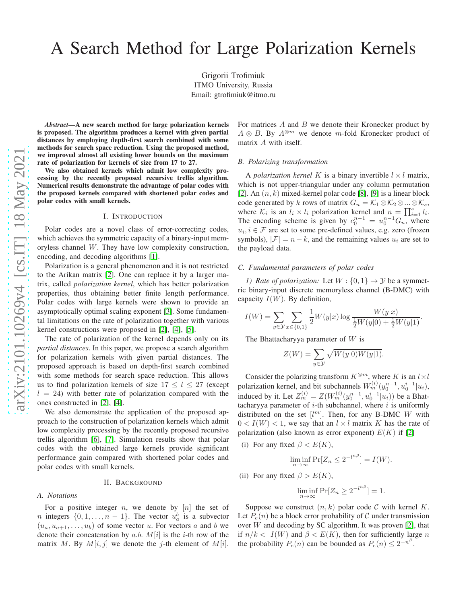Grigorii Trofimiuk ITMO University, Russia Email: gtrofimiuk@itmo.ru

*Abstract*—A new search method for large polarization kernels is proposed. The algorithm produces a kernel with given partial distances by employing depth-first search combined with some methods for search space reduction. Using the proposed method, we improved almost all existing lower bounds on the maximum rate of polarization for kernels of size from 17 to 27.

We also obtained kernels which admit low complexity processing by the recently proposed recursive trellis algorithm. Numerical results demonstrate the advantage of polar codes with the proposed kernels compared with shortened polar codes and polar codes with small kernels.

#### I. INTRODUCTION

Polar codes are a novel class of error-correcting codes, which achieves the symmetric capacity of a binary-input memoryless channel W. They have low complexity construction, encoding, and decoding algorithms [\[1\]](#page-5-0).

Polarization is a general phenomenon and it is not restricted to the Arikan matrix [\[2\]](#page-5-1). One can replace it by a larger matrix, called *polarization kernel*, which has better polarization properties, thus obtaining better finite length performance. Polar codes with large kernels were shown to provide an asymptotically optimal scaling exponent [\[3\]](#page-5-2). Some fundamental limitations on the rate of polarization together with various kernel constructions were proposed in [\[2\]](#page-5-1), [\[4\]](#page-5-3), [\[5\]](#page-5-4).

The rate of polarization of the kernel depends only on its *partial distances*. In this paper, we propose a search algorithm for polarization kernels with given partial distances. The proposed approach is based on depth-first search combined with some methods for search space reduction. This allows us to find polarization kernels of size  $17 \le l \le 27$  (except  $l = 24$ ) with better rate of polarization compared with the ones constructed in [\[2\]](#page-5-1), [\[4\]](#page-5-3).

We also demonstrate the application of the proposed approach to the construction of polarization kernels which admit low complexity processing by the recently proposed recursive trellis algorithm [\[6\]](#page-5-5), [\[7\]](#page-5-6). Simulation results show that polar codes with the obtained large kernels provide significant performance gain compared with shortened polar codes and polar codes with small kernels.

#### II. BACKGROUND

# *A. Notations*

For a positive integer  $n$ , we denote by  $[n]$  the set of *n* integers  $\{0, 1, \ldots, n-1\}$ . The vector  $u_a^b$  is a subvector  $(u_a, u_{a+1}, \ldots, u_b)$  of some vector u. For vectors a and b we denote their concatenation by a.b.  $M[i]$  is the *i*-th row of the matrix M. By  $M[i, j]$  we denote the j-th element of  $M[i]$ .

For matrices A and B we denote their Kronecker product by  $A \otimes B$ . By  $A^{\otimes m}$  we denote m-fold Kronecker product of matrix A with itself.

#### *B. Polarizing transformation*

A *polarization kernel* K is a binary invertible  $l \times l$  matrix, which is not upper-triangular under any column permutation [\[2\]](#page-5-1). An  $(n, k)$  mixed-kernel polar code [\[8\]](#page-5-7), [\[9\]](#page-5-8) is a linear block code generated by k rows of matrix  $G_n = \mathcal{K}_1 \otimes \mathcal{K}_2 \otimes ... \otimes \mathcal{K}_s$ , where  $\mathcal{K}_i$  is an  $l_i \times l_i$  polarization kernel and  $n = \prod_{i=1}^s l_i$ . The encoding scheme is given by  $c_0^{n-1} = u_0^{n-1} G_n$ , where  $u_i, i \in \mathcal{F}$  are set to some pre-defined values, e.g. zero (frozen symbols),  $|\mathcal{F}| = n - k$ , and the remaining values  $u_i$  are set to the payload data.

## *C. Fundamental parameters of polar codes*

*1) Rate of polarization:* Let  $W: \{0, 1\} \rightarrow \mathcal{Y}$  be a symmetric binary-input discrete memoryless channel (B-DMC) with capacity  $I(W)$ . By definition,

$$
I(W) = \sum_{y \in \mathcal{Y}} \sum_{x \in \{0,1\}} \frac{1}{2} W(y|x) \log \frac{W(y|x)}{\frac{1}{2}W(y|0) + \frac{1}{2}W(y|1)}.
$$

The Bhattacharyya parameter of  $W$  is

$$
Z(W) = \sum_{y \in \mathcal{Y}} \sqrt{W(y|0)W(y|1)}.
$$

Consider the polarizing transform  $K^{\otimes m}$ , where K is an  $l \times l$ polarization kernel, and bit subchannels  $W_m^{(i)}(y_0^{n-1}, u_0^{i-1}|u_i)$ , induced by it. Let  $Z_m^{(i)} = Z(W_m^{(i)}(y_0^{n-1}, u_0^{i-1}|u_i))$  be a Bhattacharyya parameter of  $i$ -th subchannel, where  $i$  is uniformly distributed on the set  $[l^m]$ . Then, for any B-DMC W with  $0 < I(W) < 1$ , we say that an  $l \times l$  matrix K has the rate of polarization (also known as error exponent)  $E(K)$  if [\[2\]](#page-5-1)

(i) For any fixed  $\beta < E(K)$ ,

$$
\liminf_{n \to \infty} \Pr[Z_n \le 2^{-l^{n\beta}}] = I(W).
$$

(ii) For any fixed 
$$
\beta > E(K)
$$
,

$$
\liminf_{n \to \infty} \Pr[Z_n \ge 2^{-l^{n\beta}}] = 1.
$$

Suppose we construct  $(n, k)$  polar code C with kernel K. Let  $P_e(n)$  be a block error probability of C under transmission over  $W$  and decoding by SC algorithm. It was proven [\[2\]](#page-5-1), that if  $n/k < I(W)$  and  $\beta < E(K)$ , then for sufficiently large n the probability  $P_e(n)$  can be bounded as  $P_e(n) \leq 2^{-n^{\beta}}$ .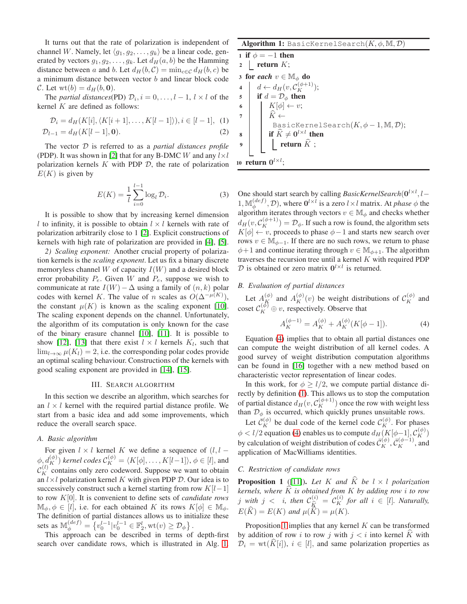It turns out that the rate of polarization is independent of channel W. Namely, let  $\langle g_1, g_2, \ldots, g_k \rangle$  be a linear code, generated by vectors  $g_1, g_2, \ldots, g_k$ . Let  $d_H(a, b)$  be the Hamming distance between a and b. Let  $d_H(b, \mathcal{C}) = \min_{c \in \mathcal{C}} d_H(b, c)$  be a minimum distance between vector  $b$  and linear block code C. Let  $\operatorname{wt}(b) = d_H(b, 0)$ .

The *partial distances*(PD)  $\mathcal{D}_i$ ,  $i = 0, \ldots, l - 1, l \times l$  of the kernel  $K$  are defined as follows:

$$
\mathcal{D}_i = d_H(K[i], \langle K[i+1], \dots, K[i-1] \rangle), i \in [l-1], (1)
$$

$$
\mathcal{D}_{l-1} = d_H(K[l-1], \mathbf{0}).\tag{2}
$$

The vector D is referred to as a *partial distances profile* (PDP). It was shown in [\[2\]](#page-5-1) that for any B-DMC W and any  $l \times l$ polarization kernels  $K$  with PDP  $D$ , the rate of polarization  $E(K)$  is given by

$$
E(K) = \frac{1}{l} \sum_{i=0}^{l-1} \log_l \mathcal{D}_i.
$$
 (3)

It is possible to show that by increasing kernel dimension l to infinity, it is possible to obtain  $l \times l$  kernels with rate of polarization arbitrarily close to 1 [\[2\]](#page-5-1). Explicit constructions of kernels with high rate of polarization are provided in [\[4\]](#page-5-3), [\[5\]](#page-5-4).

*2) Scaling exponent:* Another crucial property of polarization kernels is the *scaling exponent*. Let us fix a binary discrete memoryless channel W of capacity  $I(W)$  and a desired block error probability  $P_e$ . Given W and  $P_e$ , suppose we wish to communicate at rate  $I(W) - \Delta$  using a family of  $(n, k)$  polar codes with kernel K. The value of n scales as  $O(\Delta^{-\mu(K)})$ , the constant  $\mu(K)$  is known as the scaling exponent [\[10\]](#page-5-9). The scaling exponent depends on the channel. Unfortunately, the algorithm of its computation is only known for the case of the binary erasure channel [\[10\]](#page-5-9), [\[11\]](#page-5-10). It is possible to show [\[12\]](#page-5-11), [\[13\]](#page-5-12) that there exist  $l \times l$  kernels  $K_l$ , such that  $\lim_{l\to\infty}\mu(K_l)=2$ , i.e. the corresponding polar codes provide an optimal scaling behaviour. Constructions of the kernels with good scaling exponent are provided in [\[14\]](#page-5-13), [\[15\]](#page-5-14).

### III. SEARCH ALGORITHM

In this section we describe an algorithm, which searches for an  $l \times l$  kernel with the required partial distance profile. We start from a basic idea and add some improvements, which reduce the overall search space.

### *A. Basic algorithm*

For given  $l \times l$  kernel K we define a sequence of  $(l, l \phi, d_K^{(\phi)}$ ) *kernel codes*  $\mathcal{C}_K^{(\phi)}=\langle K[\phi],\ldots,K[l\!-\!1]\rangle,$   $\phi\in[l],$  and  $\mathcal{C}_K^{(l)}$  contains only zero codeword. Suppose we want to obtain an  $l \times l$  polarization kernel K with given PDP D. Our idea is to successively construct such a kernel starting from row  $K[l-1]$ to row K[0]. It is convenient to define sets of *candidate rows*  $\mathbb{M}_{\phi}, \phi \in [l],$  i.e. for each obtained K its rows  $K[\phi] \in \mathbb{M}_{\phi}$ . The definition of partial distances allows us to initialize these sets as  $\mathbb{M}_{\phi}^{(def)} = \{v_0^{l-1} | v_0^{l-1} \in \mathbb{F}_2^l, \text{wt}(v) \ge \mathcal{D}_{\phi}\}.$ 

This approach can be described in terms of depth-first search over candidate rows, which is illustrated in Alg. [1.](#page-1-0)

<span id="page-1-0"></span>Algorithm 1: BasicKernelSearch $(K, \phi, M, \mathcal{D})$ 

<span id="page-1-4"></span><span id="page-1-2"></span>1 if  $\phi = -1$  then  $2$  return  $K$ ; 3 for *each*  $v \in M_{\phi}$  do 4  $\Big| d \leftarrow d_H(v, \mathcal{C}_K^{(\phi+1)});$ 5 if  $d = \mathcal{D}_{\phi}$  then 6 |  $K[\phi] \leftarrow v;$ 7 |  $K \leftarrow$ BasicKernelSearch $(K, \phi - 1, M, \mathcal{D})$ ; 8 if  $\widehat{K} \neq 0^{l \times l}$  then 9 **return**  $\widehat{K}$  ; 10 return  $0^{l \times l}$ ;

<span id="page-1-5"></span>One should start search by calling  $BasicKernelSearch(0^{l \times l}, l-1)$  $1,\mathbb{M}_{\phi}^{(def)}$  $\phi_{\phi}^{(def)}, \mathcal{D}$ ), where  $\mathbf{0}^{l \times l}$  is a zero  $l \times l$  matrix. At *phase*  $\phi$  the algorithm iterates through vectors  $v \in \mathbb{M}_{\phi}$  and checks whether  $d_H(v, \mathcal{C}_K^{(\phi+1)}) = \mathcal{D}_{\phi}$ . If such a row is found, the algorithm sets  $K[\phi] \leftarrow v$ , proceeds to phase  $\phi - 1$  and starts new search over rows  $v \in M_{\phi-1}$ . If there are no such rows, we return to phase  $\phi+1$  and continue iterating through  $v \in \mathbb{M}_{\phi+1}$ . The algorithm traverses the recursion tree until a kernel  $K$  with required PDP  $D$  is obtained or zero matrix  $0^{l \times l}$  is returned.

# *B. Evaluation of partial distances*

Let  $A(K^{(\phi)}_K)$  and  $A(K^{(\phi)}_K(v))$  be weight distributions of  $C(K^{(\phi)}_K)$  and coset  $\mathcal{C}_K^{(\bar{\phi})} \oplus v$ , respectively. Observe that

<span id="page-1-1"></span>
$$
A_K^{(\phi - 1)} = A_K^{(\phi)} + A_K^{(\phi)} (K[\phi - 1]). \tag{4}
$$

Equation [\(4\)](#page-1-1) implies that to obtain all partial distances one can compute the weight distribution of all kernel codes. A good survey of weight distribution computation algorithms can be found in [\[16\]](#page-5-15) together with a new method based on characteristic vector representation of linear codes.

In this work, for  $\phi > l/2$ , we compute partial distance directly by definition [\(1\)](#page-1-2). This allows us to stop the computation of partial distance  $d_H(v, \mathcal{C}_K^{(\phi+1)})$  once the row with weight less than  $\mathcal{D}_{\phi}$  is occurred, which quickly prunes unsuitable rows.

Let  $\bar{\mathcal{C}}_K^{(\phi)}$  be dual code of the kernel code  $\mathcal{C}_K^{(\phi)}$ . For phases  $\phi < l/2$  equation [\(4\)](#page-1-1) enables us to compute  $d_H(K[\phi-1], \mathcal{C}_K^{(\phi)})$ by calculation of weight distribution of codes  $\bar{\mathcal{C}}_K^{(\phi)}$ ,  $\bar{\mathcal{C}}_K^{(\phi-1)}$ , and application of MacWilliams identities.

# *C. Restriction of candidate rows*

<span id="page-1-3"></span>**Proposition 1** ([\[11\]](#page-5-10)). Let K and  $\hat{K}$  be  $l \times l$  polarization *kernels, where* K *is obtained from* K *by adding row i to row* j with  $j \leq i$ , then  $\mathcal{C}_{\widehat{K}}^{(i)} = \mathcal{C}_{K}^{(i)}$  for all  $i \in [l]$ *. Naturally,*  $E(\widehat{K}) = E(K)$  and  $\mu(\widehat{K}) = \mu(K)$ .

Proposition [1](#page-1-3) implies that any kernel  $K$  can be transformed by addition of row i to row j with  $j < i$  into kernel K with  $\mathcal{D}_i = \text{wt}(K[i]), i \in [l]$ , and same polarization properties as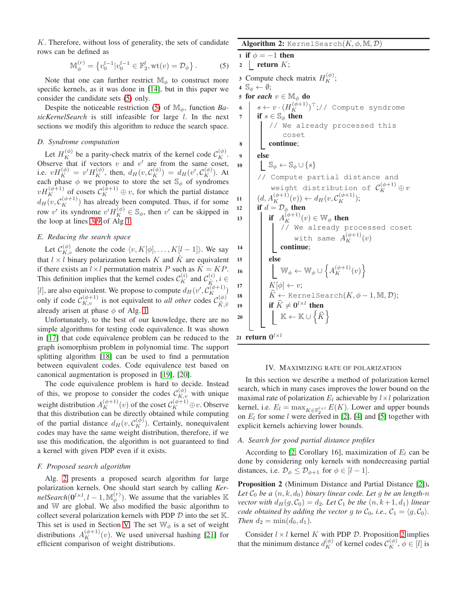K. Therefore, without loss of generality, the sets of candidate rows can be defined as

<span id="page-2-0"></span>
$$
\mathbb{M}_{\phi}^{(r)} = \left\{ v_0^{l-1} | v_0^{l-1} \in \mathbb{F}_2^l, \text{wt}(v) = \mathcal{D}_{\phi} \right\}.
$$
 (5)

Note that one can further restrict  $\mathbb{M}_{\phi}$  to construct more specific kernels, as it was done in [\[14\]](#page-5-13), but in this paper we consider the candidate sets [\(5\)](#page-2-0) only.

Despite the noticeable restriction [\(5\)](#page-2-0) of  $\mathbb{M}_{\phi}$ , function *BasicKernelSearch* is still infeasible for large l. In the next sections we modify this algorithm to reduce the search space.

# *D. Syndrome computation*

Let  $H_K^{(\phi)}$  be a parity-check matrix of the kernel code  $\mathcal{C}_K^{(\phi)}$ . Observe that if vectors  $v$  and  $v'$  are from the same coset, i.e.  $vH_K^{(\phi)} = v'H_K^{(\phi)}$ , then,  $d_H(v, \mathcal{C}_K^{(\phi)}) = d_H(v', \mathcal{C}_K^{(\phi)})$ . At each phase  $\phi$  we propose to store the set  $\mathbb{S}_{\phi}$  of syndromes  $vH_K^{(\phi+1)}$  of cosets  $\mathcal{C}_K^{(\phi+1)} \oplus v$ , for which the partial distance  $d_H(v, C_K^{(\phi+1)})$  has already been computed. Thus, if for some row v' its syndrome  $v'H_K^{(\phi)} \in \mathbb{S}_{\phi}$ , then v' can be skipped in the loop at lines [3-](#page-1-4)[9](#page-1-5) of Alg [1.](#page-1-0)

### *E. Reducing the search space*

Let  $\mathcal{C}_{K,v}^{(\phi)}$  denote the code  $\langle v, K[\phi], \dots, K[l-1] \rangle$ . We say that  $l \times l$  binary polarization kernels K and  $\hat{K}$  are equivalent if there exists an  $l \times l$  permutation matrix P such as  $\hat{K} = KP$ . This definition implies that the kernel codes  $\mathcal{C}_K^{(i)}$  and  $\mathcal{C}_{\hat{K}}^{(i)}$  $\hat{K}^{(i)}$ ,  $i \in$ [*l*], are also equivalent. We propose to compute  $d_H(v', \mathcal{C}_{K}^{(\phi+1)})$ only if code  $\mathcal{C}_{K,v}^{(\phi+1)}$  is not equivalent to *all other* codes  $\mathcal{C}_{\widehat{K},\widehat{v}}^{(\phi)}$ already arisen at phase  $\phi$  of Alg. [1.](#page-1-0)

Unfortunately, to the best of our knowledge, there are no simple algorithms for testing code equivalence. It was shown in [\[17\]](#page-5-16) that code equivalence problem can be reduced to the graph isomorphism problem in polynomial time. The support splitting algorithm [\[18\]](#page-5-17) can be used to find a permutation between equivalent codes. Code equivalence test based on canonical augmentation is proposed in [\[19\]](#page-5-18), [\[20\]](#page-5-19).

The code equivalence problem is hard to decide. Instead of this, we propose to consider the codes  $\mathcal{C}_{K,v}^{(\phi)}$  with unique weight distribution  $A_K^{(\phi+1)}(v)$  of the coset  $\mathcal{C}_K^{(\phi+1)}\oplus v$ . Observe that this distribution can be directly obtained while computing of the partial distance  $d_H(v, \mathcal{C}_K^{(\phi)})$ . Certainly, nonequivalent codes may have the same weight distribution, therefore, if we use this modification, the algorithm is not guaranteed to find a kernel with given PDP even if it exists.

#### *F. Proposed search algorithm*

Alg. [2](#page-2-1) presents a proposed search algorithm for large polarization kernels. One should start search by calling *Ker-* $\textit{nelSearch}(\mathbf{0}^{l \times l}, l-1, \mathbb{M}_{\phi}^{(r)})$  $\phi_p^{(r)}$ ). We assume that the variables K and W are global. We also modified the basic algorithm to collect several polarization kernels with PDP  $D$  into the set  $K$ . This set is used in Section [V.](#page-3-0) The set  $\mathbb{W}_{\phi}$  is a set of weight distributions  $A_K^{(\phi+1)}(v)$ . We used universal hashing [\[21\]](#page-5-20) for efficient comparison of weight distributions.

<span id="page-2-1"></span>Algorithm 2: KernelSearch $(K, \phi, M, \mathcal{D})$ 

1 if  $\phi = -1$  then  $2$  return  $K$ ; 3 Compute check matrix  $H_K^{(\phi)}$ ; 4  $\mathbb{S}_{\phi} \leftarrow \emptyset;$ 5 for *each*  $v \in M_{\phi}$  do 6  $s \leftarrow v \cdot (H_K^{(\phi+1)})^\top; //$  Compute syndrome 7 if  $s \in \mathbb{S}_{\phi}$  then // We already processed this coset <sup>8</sup> continue; <sup>9</sup> else 10  $\Big| \quad \mathbb{S}_{\phi} \leftarrow \mathbb{S}_{\phi} \cup \{s\}$ // Compute partial distance and weight distribution of  $\mathcal{C}_K^{(\phi+1)}\oplus v$ 11  $(d, A_K^{(\phi+1)}(v)) \leftarrow d_H(v, C_K^{(\phi+1)});$ 12 if  $d = \mathcal{D}_{\phi}$  then 13 **if**  $A_K^{(\phi+1)}(v) \in \mathbb{W}_{\phi}$  then // We already processed coset with same  $A_K^{(\phi+1)}(v)$ 14 **continue**; 15 **else** 16  $\mathbb{W}_{\phi} \leftarrow \mathbb{W}_{\phi} \cup \left\{ A_{K}^{(\phi+1)}(v) \right\}$ 17  $K[\phi] \leftarrow v;$ 18  $\begin{bmatrix} \hat{K} & \text{KernelSearch}(K, \phi-1, \mathbb{M}, \mathcal{D}); \end{bmatrix}$ 19 if  $\widehat{K} \neq 0^{l \times l}$  then 20  $\Big|\Big| \begin{array}{c} \infty \ \infty \end{array}$   $\mathbb{K} \leftarrow \mathbb{K} \cup \left\{\widehat{K}\right\}$ 21 return  $0^{l \times l}$ 

### IV. MAXIMIZING RATE OF POLARIZATION

<span id="page-2-4"></span>In this section we describe a method of polarization kernel search, which in many cases improves the lower bound on the maximal rate of polarization  $E_l$  achievable by  $l \times l$  polarization kernel, i.e.  $E_l = \max_{K \in \mathbb{F}_2^{l \times l}} E(K)$ . Lower and upper bounds on  $E_l$  for some l were derived in [\[2\]](#page-5-1), [\[4\]](#page-5-3) and [\[5\]](#page-5-4) together with explicit kernels achieving lower bounds.

# <span id="page-2-3"></span>*A. Search for good partial distance profiles*

According to [\[2,](#page-5-1) Corollary 16], maximization of  $E_l$  can be done by considering only kernels with nondecreasing partial distances, i.e.  $\mathcal{D}_{\phi} \leq \mathcal{D}_{\phi+1}$  for  $\phi \in [l-1]$ .

<span id="page-2-2"></span>Proposition 2 (Minimum Distance and Partial Distance [\[2\]](#page-5-1)). Let  $\mathcal{C}_0$  *be a*  $(n, k, d_0)$  *binary linear code. Let g be an length-n vector with*  $d_H(g, \mathcal{C}_0) = d_2$ *. Let*  $\mathcal{C}_1$  *be the*  $(n, k+1, d_1)$  *linear code obtained by adding the vector g to*  $C_0$ *, i.e.,*  $C_1 = \langle g, C_0 \rangle$ *. Then*  $d_2 = \min(d_0, d_1)$ *.* 

Consider  $l \times l$  kernel K with PDP  $D$ . Proposition [2](#page-2-2) implies that the minimum distance  $d_K^{(\phi)}$  of kernel codes  $\mathcal{C}_K^{(\phi)}$ ,  $\phi \in [l]$  is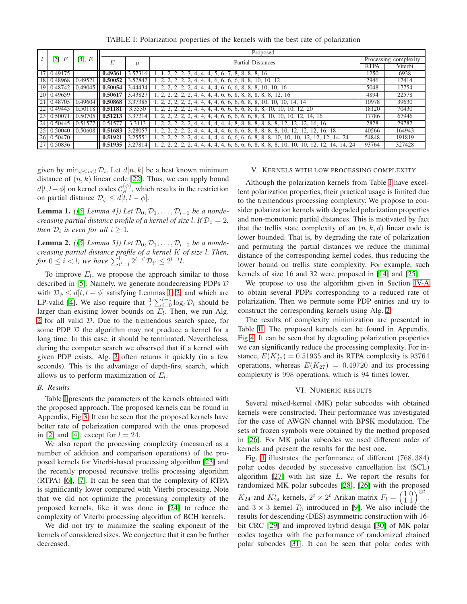TABLE I: Polarization properties of the kernels with the best rate of polarization

<span id="page-3-3"></span>

|                  | [2], E  | [4], E          | Proposed |         |                                                                                |                       |         |  |
|------------------|---------|-----------------|----------|---------|--------------------------------------------------------------------------------|-----------------------|---------|--|
|                  |         |                 | E        | $\mu$   | <b>Partial Distances</b>                                                       | Processing complexity |         |  |
|                  |         |                 |          |         |                                                                                | <b>RTPA</b>           | Viterbi |  |
| 17 <sup>1</sup>  | 0.49175 |                 | 0.49361  | 3.57316 | 4, 5, 6, 7, 8, 8, 8, 8, 16<br>2, 2, 3<br>4.4.<br>Ι.                            | 1250                  | 6938    |  |
| 18 <sup> </sup>  | 0.48968 | 0.49521         | 0.50052  | 3.52842 | 4, 6, 6, 6, 6, 8, 8, 10, 10, 12<br>4.<br>4.                                    | 2946                  | 17414   |  |
| 19               | 0.48742 | 0.49045         | 0.50054  | 3.44434 | 1. 2. 2. 2. 2. 2.<br>4, 4, 6, 6, 6, 8, 8, 8, 10, 10, 16<br>4, 4,               | 5048                  | 17754   |  |
| 20               | 0.49659 |                 | 0.50617  | 3.43827 | 1, 2, 2, 2, 2, 2, 4, 4,<br>4, 4, 6, 6, 8, 8, 8, 8, 8, 8, 12, 16                | 4894                  | 22578   |  |
|                  | 0.48705 | 0.49604         | 0.50868  | 3.37385 | 1, 2, 2, 2, 2, 4, 4, 4, 4, 6, 6, 6, 6, 8, 8, 10, 10, 10, 14, 14                | 10978                 | 39630   |  |
|                  | 0.49445 | 0.501<br>118 II | 0.51181  | 3.3530  | 10, 10, 12, 20<br>4, 4, 4, 4, 6, 6, 6, 6, 8, 8, 8, 10,                         | 18120                 | 70430   |  |
| 23               | 0.50071 | 0.50705         | 0.51213  | 3.37214 | 1, 2, 2, 2, 2, 2,<br>4, 4, 4, 4, 6, 6, 6, 6, 6, 8, 8, 10, 10, 10, 12,<br>14.16 | 17786                 | 67946   |  |
| 24               | 0.50445 | 0.51577         | 0.51577  | 3.3113  | 4, 4, 4, 4, 8, 8, 8, 8, 8, 8, 8, 12, 12, 12, 16, 16<br>2, 4, 4,                | 2828                  | 29782   |  |
| 25               | 0.50040 | 0.50608         | 0.51683  | 3.28057 | 12, 12, 12, 16, 18<br>4, 4, 4, 6, 6, 6, 8, 8, 8, 8, 8, 10,<br>4.<br>4.         | 40566                 | 164943  |  |
| 26 <sup>-1</sup> | 0.50470 |                 | 0.51921  | 3.25551 | 14.24<br>1. 2. 2. 2. 2. 2.<br>4, 4, 4, 4, 4, 6, 6, 6, 6, 8, 8, 8, 10, 10, 10,  | 54848                 | 191819  |  |
|                  | 0.50836 |                 | 0.51935  | 3.27814 | 2, 2, 2, 4, 4, 4, 4, 4, 6, 6, 6, 6, 8, 8, 8, 8, 10, 10, 10, 12, 12, 14, 14, 24 | 93764                 | 327428  |  |

given by  $\min_{\phi \leq i < l} \mathcal{D}_i$ . Let  $d[n, k]$  be a best known minimum distance of  $(n, k)$  linear code [\[22\]](#page-5-21). Thus, we can apply bound  $d[l, l-\phi]$  on kernel codes  $\mathcal{C}_K^{(\phi)}$ , which results in the restriction on partial distance  $\mathcal{D}_{\phi} \leq d[l, l - \phi]$ .

<span id="page-3-1"></span>**Lemma 1.** *([\[5,](#page-5-4) Lemma 4]) Let*  $\mathcal{D}_0, \mathcal{D}_1, \ldots, \mathcal{D}_{l-1}$  *be a nondecreasing partial distance profile of a kernel of size l. If*  $\mathcal{D}_1 = 2$ *, then*  $D_i$  *is even for all*  $i \geq 1$ *.* 

<span id="page-3-2"></span>**Lemma 2.** *([\[5,](#page-5-4) Lemma 5]) Let*  $\mathcal{D}_0, \mathcal{D}_1, \ldots, \mathcal{D}_{l-1}$  *be a nondecreasing partial distance profile of a kernel* K *of size* l*. Then, for*  $0 \le i < l$ , we have  $\sum_{i'=i}^{l} 2^{l-i'} \mathcal{D}_{i'} \le 2^{l-i}l$ .

To improve  $E_l$ , we propose the approach similar to those described in [\[5\]](#page-5-4). Namely, we generate nondecreasing PDPs D with  $\mathcal{D}_{\phi} \leq d[l, l - \phi]$  satisfying Lemmas [1,](#page-3-1) [2,](#page-3-2) and which are LP-valid [\[4\]](#page-5-3). We also require that  $\frac{1}{l} \sum_{i=0}^{l-1} \log_l \mathcal{D}_i$  should be larger than existing lower bounds on  $E_l$ . Then, we run Alg. [2](#page-2-1) for all valid D. Due to the tremendous search space, for some PDP  $D$  the algorithm may not produce a kernel for a long time. In this case, it should be terminated. Nevertheless, during the computer search we observed that if a kernel with given PDP exists, Alg. [2](#page-2-1) often returns it quickly (in a few seconds). This is the advantage of depth-first search, which allows us to perform maximization of  $E_l$ .

### *B. Results*

Table [I](#page-3-3) presents the parameters of the kernels obtained with the proposed approach. The proposed kernels can be found in Appendix, Fig [3.](#page-6-0) It can be seen that the proposed kernels have better rate of polarization compared with the ones proposed in [\[2\]](#page-5-1) and [\[4\]](#page-5-3), except for  $l = 24$ .

We also report the processing complexity (measured as a number of addition and comparison operations) of the proposed kernels for Viterbi-based processing algorithm [\[23\]](#page-5-22) and the recently proposed recursive trellis processing algorithm (RTPA) [\[6\]](#page-5-5), [\[7\]](#page-5-6). It can be seen that the complexity of RTPA is significantly lower compared with Viterbi processing. Note that we did not optimize the processing complexity of the proposed kernels, like it was done in [\[24\]](#page-5-23) to reduce the complexity of Viterbi processing algorithm of BCH kernels.

We did not try to minimize the scaling exponent of the kernels of considered sizes. We conjecture that it can be further decreased.

#### <span id="page-3-0"></span>V. KERNELS WITH LOW PROCESSING COMPLEXITY

Although the polarization kernels from Table [I](#page-3-3) have excellent polarization properties, their practical usage is limited due to the tremendous processing complexity. We propose to consider polarization kernels with degraded polarization properties and non-monotonic partial distances. This is motivated by fact that the trellis state complexity of an  $(n, k, d)$  linear code is lower bounded. That is, by degrading the rate of polarization and permuting the partial distances we reduce the minimal distance of the corresponding kernel codes, thus reducing the lower bound on trellis state complexity. For example, such kernels of size 16 and 32 were proposed in [\[14\]](#page-5-13) and [\[25\]](#page-5-24).

We propose to use the algorithm given in Section [IV-A](#page-2-3) to obtain several PDPs corresponding to a reduced rate of polarization. Then we permute some PDP entries and try to construct the corresponding kernels using Alg. [2.](#page-2-1)

The results of complexity minimization are presented in Table [II.](#page-4-0) The proposed kernels can be found in Appendix, Fig [4.](#page-7-0) It can be seen that by degrading polarization properties we can significantly reduce the processing complexity. For instance,  $E(K_{27}^*) = 0.51935$  and its RTPA complexity is 93764 operations, whereas  $E(K_{27}) = 0.49720$  and its processing complexity is 998 operations, which is 94 times lower.

# VI. NUMERIC RESULTS

Several mixed-kernel (MK) polar subcodes with obtained kernels were constructed. Their performance was investigated for the case of AWGN channel with BPSK modulation. The sets of frozen symbols were obtained by the method proposed in [\[26\]](#page-5-25). For MK polar subcodes we used different order of kernels and present the results for the best one.

Fig. [1](#page-4-1) illustrates the performance of different (768, 384) polar codes decoded by successive cancellation list (SCL) algorithm  $[27]$  with list size L. We report the results for randomized MK polar subcodes [\[28\]](#page-5-27), [\[26\]](#page-5-25) with the proposed  $K_{24}$  and  $K_{24}^*$  kernels,  $2^t \times 2^t$  Arikan matrix  $F_t = \left(\begin{matrix} 1 & 0 \\ 1 & 1 \end{matrix}\right)^{\otimes t}$ . and  $3 \times 3$  kernel  $T_3$  introduced in [\[9\]](#page-5-8). We also include the results for descending (DES) asymmetric construction with 16 bit CRC [\[29\]](#page-5-28) and improved hybrid design [\[30\]](#page-5-29) of MK polar codes together with the performance of randomized chained polar subcodes [\[31\]](#page-5-30). It can be seen that polar codes with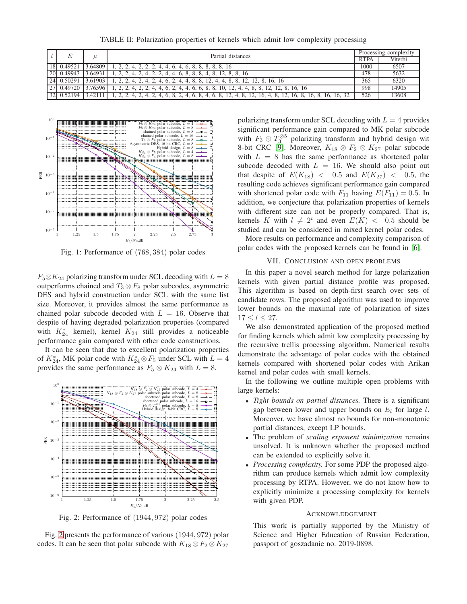TABLE II: Polarization properties of kernels which admit low complexity processing

<span id="page-4-0"></span>

| E          |          | Partial distances                                     | Processing complexity |         |
|------------|----------|-------------------------------------------------------|-----------------------|---------|
|            |          |                                                       | <b>RTPA</b>           | Viterbi |
| 18 0.4952  | 3.64809  | . 8. 8. 16<br>4, 6, 4, 6,                             | 1000                  | 6507    |
| 20 0.49943 | 3.64931  | 8, 8, 16                                              | 478                   | 5632    |
| 24 0.50291 | 3.61903  | 12, 12, 8, 16, 16                                     | 365                   | 6320    |
| 27 0.49720 | 3.765961 | 10, 12, 4, 4, 8, 8, 12, 12, 8, 16, 16<br>6.8.8.<br>4. | 998                   | 14905   |
| 32 0.52194 | 3.421    | 16, 8, 16, 8, 16, 16, 32<br>6, 8.<br>16.              | 526                   | 13608   |

<span id="page-4-1"></span>

Fig. 1: Performance of (768, 384) polar codes

 $F_5 \otimes K_{24}$  polarizing transform under SCL decoding with  $L = 8$ outperforms chained and  $T_3 \otimes F_8$  polar subcodes, asymmetric DES and hybrid construction under SCL with the same list size. Moreover, it provides almost the same performance as chained polar subcode decoded with  $L = 16$ . Observe that despite of having degraded polarization properties (compared with  $K_{24}^*$  kernel), kernel  $K_{24}$  still provides a noticeable performance gain compared with other code constructions.

It can be seen that due to excellent polarization properties of  $K_{24}^*$ , MK polar code with  $K_{24}^* \otimes F_5$  under SCL with  $L = 4$ provides the same performance as  $F_5 \otimes K_{24}$  with  $L = 8$ .

<span id="page-4-2"></span>

Fig. 2: Performance of (1944, 972) polar codes

Fig. [2](#page-4-2) presents the performance of various (1944, 972) polar codes. It can be seen that polar subcode with  $K_{18} \otimes F_2 \otimes K_{27}$ 

polarizing transform under SCL decoding with  $L = 4$  provides significant performance gain compared to MK polar subcode with  $F_3 \otimes T_3^{\otimes 5}$  polarizing transform and hybrid design with 8-bit CRC [\[9\]](#page-5-8). Moreover,  $K_{18} \otimes F_2 \otimes K_{27}$  polar subcode with  $L = 8$  has the same performance as shortened polar subcode decoded with  $L = 16$ . We should also point out that despite of  $E(K_{18}) < 0.5$  and  $E(K_{27}) < 0.5$ , the resulting code achieves significant performance gain compared with shortened polar code with  $F_{11}$  having  $E(F_{11}) = 0.5$ . In addition, we conjecture that polarization properties of kernels with different size can not be properly compared. That is, kernels K with  $l \neq 2^t$  and even  $E(K) < 0.5$  should be studied and can be considered in mixed kernel polar codes.

More results on performance and complexity comparison of polar codes with the proposed kernels can be found in [\[6\]](#page-5-5).

#### VII. CONCLUSION AND OPEN PROBLEMS

In this paper a novel search method for large polarization kernels with given partial distance profile was proposed. This algorithm is based on depth-first search over sets of candidate rows. The proposed algorithm was used to improve lower bounds on the maximal rate of polarization of sizes  $17 < l < 27$ .

We also demonstrated application of the proposed method for finding kernels which admit low complexity processing by the recursive trellis processing algorithm. Numerical results demonstrate the advantage of polar codes with the obtained kernels compared with shortened polar codes with Arikan kernel and polar codes with small kernels.

In the following we outline multiple open problems with large kernels:

- *Tight bounds on partial distances.* There is a significant gap between lower and upper bounds on  $E_l$  for large l. Moreover, we have almost no bounds for non-monotonic partial distances, except LP bounds.
- The problem of *scaling exponent minimization* remains unsolved. It is unknown whether the proposed method can be extended to explicitly solve it.
- *Processing complexity.* For some PDP the proposed algorithm can produce kernels which admit low complexity processing by RTPA. However, we do not know how to explicitly minimize a processing complexity for kernels with given PDP.

### ACKNOWLEDGEMENT

This work is partially supported by the Ministry of Science and Higher Education of Russian Federation, passport of goszadanie no. 2019-0898.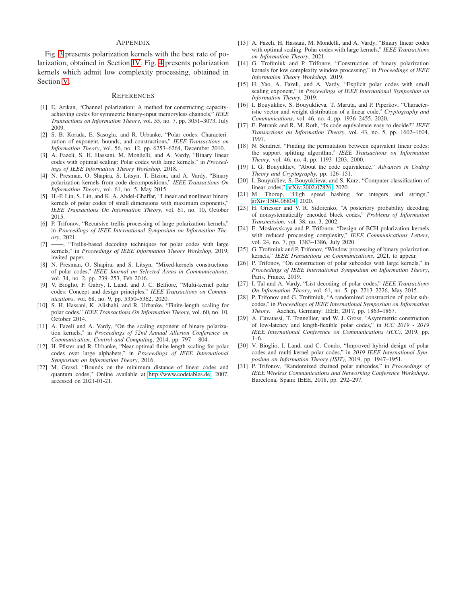# APPENDIX

Fig. [3](#page-6-0) presents polarization kernels with the best rate of polarization, obtained in Section [IV.](#page-2-4) Fig. [4](#page-7-0) presents polarization kernels which admit low complexity processing, obtained in Section [V.](#page-3-0)

#### **REFERENCES**

- <span id="page-5-0"></span>[1] E. Arıkan, "Channel polarization: A method for constructing capacityachieving codes for symmetric binary-input memoryless channels," *IEEE Transactions on Information Theory*, vol. 55, no. 7, pp. 3051–3073, July 2009.
- <span id="page-5-1"></span>[2] S. B. Korada, E. Sasoglu, and R. Urbanke, "Polar codes: Characterization of exponent, bounds, and constructions," *IEEE Transactions on Information Theory*, vol. 56, no. 12, pp. 6253–6264, December 2010.
- <span id="page-5-2"></span>[3] A. Fazeli, S. H. Hassani, M. Mondelli, and A. Vardy, "Binary linear codes with optimal scaling: Polar codes with large kernels," in *Proceedings of IEEE Information Theory Workshop*, 2018.
- <span id="page-5-3"></span>[4] N. Presman, O. Shapira, S. Litsyn, T. Etzion, and A. Vardy, "Binary polarization kernels from code decompositions," *IEEE Transactions On Information Theory*, vol. 61, no. 5, May 2015.
- <span id="page-5-4"></span>[5] H.-P. Lin, S. Lin, and K. A. Abdel-Ghaffar, "Linear and nonlinear binary kernels of polar codes of small dimensions with maximum exponents, *IEEE Transactions On Information Theory*, vol. 61, no. 10, October 2015.
- <span id="page-5-5"></span>[6] P. Trifonov, "Recursive trellis processing of large polarization kernels," in *Proceedings of IEEE International Symposium on Information Theory*, 2021.
- <span id="page-5-6"></span>[7] ——, "Trellis-based decoding techniques for polar codes with large kernels," in *Proceedings of IEEE Information Theory Workshop*, 2019, invited paper.
- <span id="page-5-7"></span>[8] N. Presman, O. Shapira, and S. Litsyn, "Mixed-kernels constructions of polar codes," *IEEE Journal on Selected Areas in Communications*, vol. 34, no. 2, pp. 239–253, Feb 2016.
- <span id="page-5-8"></span>[9] V. Bioglio, F. Gabry, I. Land, and J. C. Belfiore, "Multi-kernel polar codes: Concept and design principles," *IEEE Transactions on Communications*, vol. 68, no. 9, pp. 5350–5362, 2020.
- <span id="page-5-9"></span>[10] S. H. Hassani, K. Alishahi, and R. Urbanke, "Finite-length scaling for polar codes," *IEEE Transactions On Information Theory*, vol. 60, no. 10, October 2014.
- <span id="page-5-10"></span>[11] A. Fazeli and A. Vardy, "On the scaling exponent of binary polarization kernels," in *Proceedings of 52nd Annual Allerton Conference on Communication, Control and Computing*, 2014, pp. 797 – 804.
- <span id="page-5-11"></span>[12] H. Pfister and R. Urbanke, "Near-optimal finite-length scaling for polar codes over large alphabets," in *Proceedings of IEEE International Symposium on Information Theory*, 2016.
- <span id="page-5-21"></span>[22] M. Grassl, "Bounds on the minimum distance of linear codes and quantum codes," Online available at [http://www.codetables.de,](http://www.codetables.de) 2007, accessed on 2021-01-21.
- <span id="page-5-12"></span>[13] A. Fazeli, H. Hassani, M. Mondelli, and A. Vardy, "Binary linear codes with optimal scaling: Polar codes with large kernels," *IEEE Transactions on Information Theory*, 2021.
- <span id="page-5-13"></span>[14] G. Trofimiuk and P. Trifonov, "Construction of binary polarization kernels for low complexity window processing," in *Proceedings of IEEE Information Theory Workshop*, 2019.
- <span id="page-5-14"></span>[15] H. Yao, A. Fazeli, and A. Vardy, "Explicit polar codes with small scaling exponent," in *Proceedings of IEEE International Symposium on Information Theory*, 2019.
- <span id="page-5-15"></span>[16] I. Bouyukliev, S. Bouyuklieva, T. Maruta, and P. Piperkov, "Characteristic vector and weight distribution of a linear code," *Cryptography and Communications*, vol. 46, no. 4, pp. 1936–2455, 2020.
- <span id="page-5-16"></span>[17] E. Petrank and R. M. Roth, "Is code equivalence easy to decide?" *IEEE Transactions on Information Theory*, vol. 43, no. 5, pp. 1602–1604, 1997.
- <span id="page-5-17"></span>[18] N. Sendrier, "Finding the permutation between equivalent linear codes: the support splitting algorithm," *IEEE Transactions on Information Theory*, vol. 46, no. 4, pp. 1193–1203, 2000.
- <span id="page-5-18"></span>[19] I. G. Bouyukliev, "About the code equivalence," *Advances in Coding Theory and Cryptography*, pp. 126–151.
- <span id="page-5-19"></span>[20] I. Bouyukliev, S. Bouyuklieva, and S. Kurz, "Computer classification of linear codes," [arXiv:2002.07826,](http://arxiv.org/abs/2002.07826) 2020.
- <span id="page-5-20"></span>[21] M. Thorup, "High speed hashing for integers and strings," [arXiv:1504.06804,](http://arxiv.org/abs/1504.06804) 2020.
- <span id="page-5-22"></span>[23] H. Griesser and V. R. Sidorenko, "A posteriory probability decoding of nonsystematically encoded block codes," *Problems of Information Transmission*, vol. 38, no. 3, 2002.
- <span id="page-5-23"></span>[24] E. Moskovskaya and P. Trifonov, "Design of BCH polarization kernels with reduced processing complexity," *IEEE Communications Letters*, vol. 24, no. 7, pp. 1383–1386, July 2020.
- <span id="page-5-24"></span>[25] G. Trofimiuk and P. Trifonov, "Window processing of binary polarization kernels," *IEEE Transactions on Communications*, 2021, to appear.
- <span id="page-5-25"></span>[26] P. Trifonov, "On construction of polar subcodes with large kernels," in *Proceedings of IEEE International Symposium on Information Theory*, Paris, France, 2019.
- <span id="page-5-26"></span>[27] I. Tal and A. Vardy, "List decoding of polar codes," *IEEE Transactions On Information Theory*, vol. 61, no. 5, pp. 2213–2226, May 2015.
- <span id="page-5-27"></span>[28] P. Trifonov and G. Trofimiuk, "A randomized construction of polar subcodes," in *Proceedings of IEEE International Symposium on Information Theory*. Aachen, Germany: IEEE, 2017, pp. 1863–1867.
- <span id="page-5-28"></span>[29] A. Cavatassi, T. Tonnellier, and W. J. Gross, "Asymmetric construction of low-latency and length-flexible polar codes," in *ICC 2019 - 2019 IEEE International Conference on Communications (ICC)*, 2019, pp. 1–6.
- <span id="page-5-29"></span>[30] V. Bioglio, I. Land, and C. Condo, "Improved hybrid design of polar codes and multi-kernel polar codes," in *2019 IEEE International Symposium on Information Theory (ISIT)*, 2019, pp. 1947–1951.
- <span id="page-5-30"></span>[31] P. Trifonov, "Randomized chained polar subcodes," in *Proceedings of IEEE Wireless Communications and Networking Conference Workshops*. Barcelona, Spain: IEEE, 2018, pp. 292–297.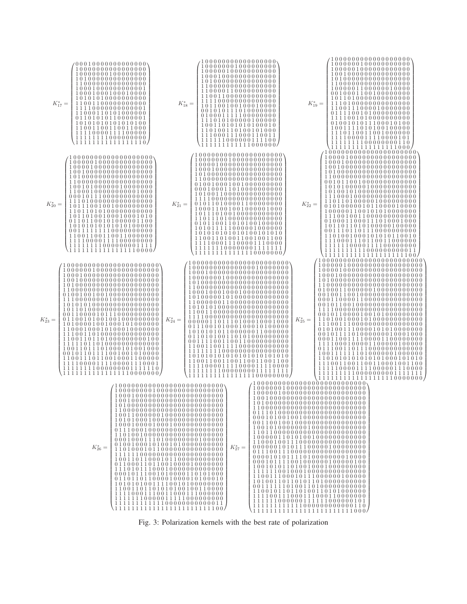<span id="page-6-0"></span>

Fig. 3: Polarization kernels with the best rate of polarization